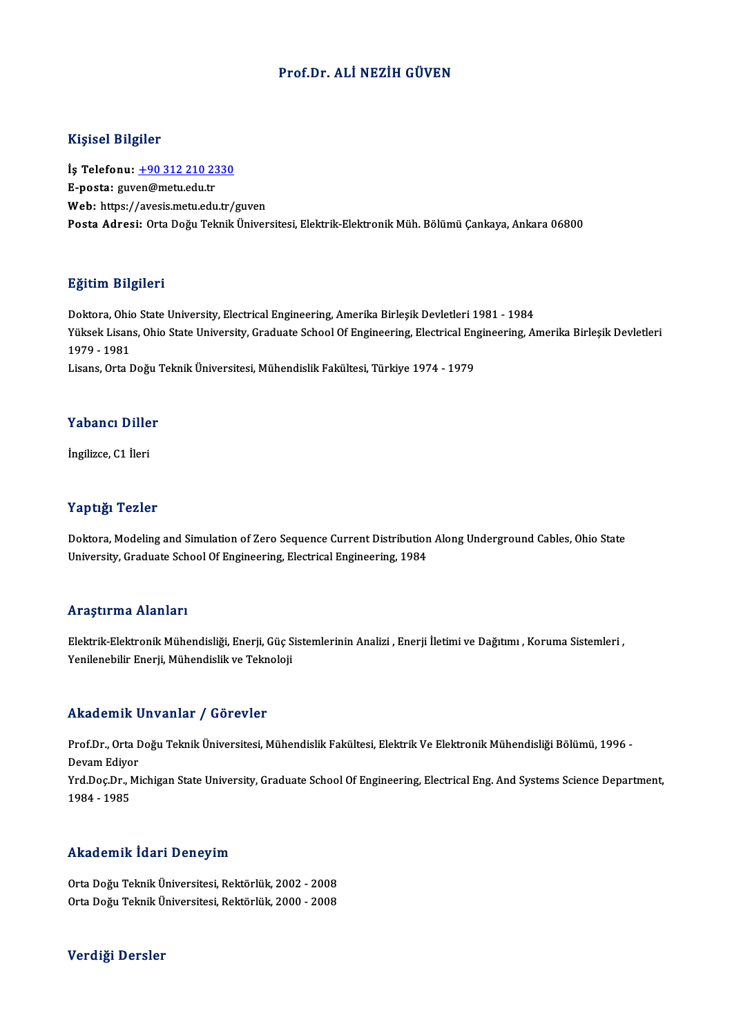### Prof.Dr. ALİ NEZİH GÜVEN

#### Kişisel Bilgiler

Kişisel Bilgiler<br>İş Telefonu: <u>+90 312 210 2330</u><br>E nosta: suven@metu.edu.tr 11131001<br>İş Telefonu: <u>+90 312 210 23</u><br>E-posta: guv[en@metu.edu.tr](tel:+90 312 210 2330)<br>Web. https://avesis.metu.edu.tr E-posta: guven@metu.edu.tr<br>Web: https://avesis.metu.edu.tr/guven Posta Adresi: Orta Doğu Teknik Üniversitesi, Elektrik-Elektronik Müh. Bölümü Cankaya, Ankara 06800

#### Eğitim Bilgileri

<mark>Eğitim Bilgileri</mark><br>Doktora, Ohio State University, Electrical Engineering, Amerika Birleşik Devletleri 1981 - 1984<br><sup>Vültsek Lisans, Ohio State University, Craduate School Of Engineering, Electrical Engineering, Ai</sup> 23.0000 Zagaroa.<br>Doktora, Ohio State University, Electrical Engineering, Amerika Birleşik Devletleri 1981 - 1984<br>Yüksek Lisans, Ohio State University, Graduate School Of Engineering, Electrical Engineering, Amerika Birleşi Doktora, Ohio<br>Yüksek Lisan<br>1979 - 1981<br>Lisans, Orta L Yüksek Lisans, Ohio State University, Graduate School Of Engineering, Electrical En<sub>i</sub><br>1979 - 1981<br>Lisans, Orta Doğu Teknik Üniversitesi, Mühendislik Fakültesi, Türkiye 1974 - 1979 Lisans, Orta Doğu Teknik Üniversitesi, Mühendislik Fakültesi, Türkiye 1974 - 1979<br>Yabancı Diller

İngilizce, C1 İleri

#### Yaptığı Tezler

Doktora, Modeling and Simulation of Zero Sequence Current Distribution Along Underground Cables, Ohio State University, Graduate School Of Engineering, Electrical Engineering, 1984

#### Araştırma Alanları

Elektrik-Elektronik Mühendisliği, Enerji, Güç Sistemlerinin Analizi , Enerji İletimi ve Dağıtımı , Koruma Sistemleri , Yenilenebilir Enerji, Mühendislik ve Teknoloji

#### Akademik Unvanlar / Görevler

**Akademik Unvanlar / Görevler**<br>Prof.Dr., Orta Doğu Teknik Üniversitesi, Mühendislik Fakültesi, Elektrik Ve Elektronik Mühendisliği Bölümü, 1996 -<br>Davam Ediyer rmaacmm<br>Prof.Dr., Orta I<br>Devam Ediyor<br>Yrd Des.Dr., Mi Prof.Dr., Orta Doğu Teknik Üniversitesi, Mühendislik Fakültesi, Elektrik Ve Elektronik Mühendisliği Bölümü, 1996<br>Devam Ediyor<br>Yrd.Doç.Dr., Michigan State University, Graduate School Of Engineering, Electrical Eng. And Syst

Devam Ediyo<br>Yrd.Doç.Dr., I<br>1984 - 1985 1984 - 1985<br>Akademik İdari Deneyim

Akademik İdari Deneyim<br>Orta Doğu Teknik Üniversitesi, Rektörlük, 2002 - 2008<br>Orta Doğu Telmik Üniversitesi, Bektörlük, 2000 - 2009 orta Doğu Teknik Üniversitesi, Rektörlük, 2002 - 2008<br>Orta Doğu Teknik Üniversitesi, Rektörlük, 2002 - 2008<br>Orta Doğu Teknik Üniversitesi, Rektörlük, 2000 - 2008 Orta Doğu Teknik Üniversitesi, Rektörlük, 2000 - 2008<br>Verdiği Dersler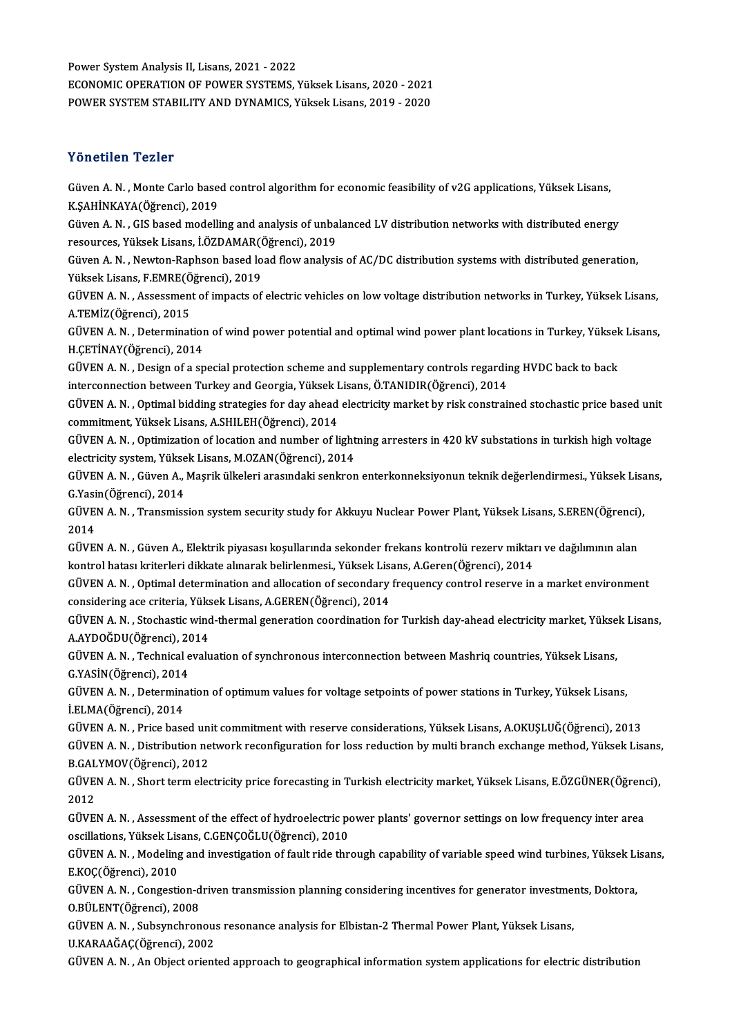Power System Analysis II, Lisans, 2021 - 2022 Power System Analysis II, Lisans, 2021 - 2022<br>ECONOMIC OPERATION OF POWER SYSTEMS, Yüksek Lisans, 2020 - 2021<br>POWER SYSTEM STARU ITV AND DYNAMICS, Yüksek Lisans, 2010 - 2020 Power System Analysis II, Lisans, 2021 - 2022<br>ECONOMIC OPERATION OF POWER SYSTEMS, Yüksek Lisans, 2020 - 2021<br>POWER SYSTEM STABILITY AND DYNAMICS, Yüksek Lisans, 2019 - 2020 POWER SYSTEM STABILITY AND DYNAMICS, Yüksek Lisans, 2019 - 2020<br>Yönetilen Tezler

Yönetilen Tezler<br>Güven A. N. , Monte Carlo based control algorithm for economic feasibility of v2G applications, Yüksek Lisans,<br>K.SAHİNKAYA(Öğrengi), 2019 TURULLA TURIUS<br>Güven A. N. , Monte Carlo base<br>K.ŞAHİNKAYA(Öğrenci), 2019<br>Güven A. N. , CIS based madelli Güven A. N. , Monte Carlo based control algorithm for economic feasibility of v2G applications, Yüksek Lisans,<br>K.ŞAHİNKAYA(Öğrenci), 2019<br>Güven A. N. , GIS based modelling and analysis of unbalanced LV distribution network

K.ŞAHİNKAYA(Öğrenci), 2019<br>Güven A. N. , GIS based modelling and analysis of unbalanced LV distribution networks with distributed energy<br>resources, Yüksek Lisans, İ.ÖZDAMAR(Öğrenci), 2019 Güven A. N. , GIS based modelling and analysis of unbalanced LV distribution networks with distributed energy<br>resources, Yüksek Lisans, İ.ÖZDAMAR(Öğrenci), 2019<br>Güven A. N. , Newton-Raphson based load flow analysis of AC/D

resources, Yüksek Lisans, İ.ÖZDAMAR(Ö<br>Güven A. N. , Newton-Raphson based lo<br>Yüksek Lisans, F.EMRE(Öğrenci), 2019<br>CÜVEN A. N. , Assesment of imnests of Yüksek Lisans, F EMRE(Öğrenci), 2019

GÜVEN A.N., Assessment of impacts of electric vehicles on low voltage distribution networks in Turkey, Yüksek Lisans,<br>A.TEMİZ(Öğrenci), 2015 GÜVEN A. N. , Assessment of impacts of electric vehicles on low voltage distribution networks in Turkey, Yüksek Lisans,<br>A.TEMİZ(Öğrenci), 2015<br>GÜVEN A. N. , Determination of wind power potential and optimal wind power plan

A.TEMİZ(Öğrenci), 2015<br>GÜVEN A. N. , Determination<br>H.ÇETİNAY(Öğrenci), 2014<br>GÜVEN A. N. , Design of a su GÜVEN A. N. , Determination of wind power potential and optimal wind power plant locations in Turkey, Yüksek<br>H.ÇETİNAY(Öğrenci), 2014<br>GÜVEN A. N. , Design of a special protection scheme and supplementary controls regarding

H.ÇETİNAY(Öğrenci), 2014<br>GÜVEN A. N. , Design of a special protection scheme and supplementary controls regardii<br>interconnection between Turkey and Georgia, Yüksek Lisans, Ö.TANIDIR(Öğrenci), 2014<br>CÜVEN A. N. , Ontimal bid GÜVEN A. N. , Design of a special protection scheme and supplementary controls regarding HVDC back to back<br>interconnection between Turkey and Georgia, Yüksek Lisans, Ö.TANIDIR(Öğrenci), 2014<br>GÜVEN A. N. , Optimal bidding s

interconnection between Turkey and Georgia, Yüksek I<br>GÜVEN A. N. , Optimal bidding strategies for day ahead<br>commitment, Yüksek Lisans, A.SHILEH(Öğrenci), 2014<br>CÜVEN A. N. , Optimization of location and number of li GÜVEN A.N. , Optimal bidding strategies for day ahead electricity market by risk constrained stochastic price based un<br>commitment, Yüksek Lisans, A.SHILEH(Öğrenci), 2014<br>GÜVEN A.N. , Optimization of location and number of commitment, Yüksek Lisans, A.SHILEH(Öğrenci), 2014<br>GÜVEN A. N. , Optimization of location and number of lightning arresters in 420 kV substations in turkish high voltage

GÜVEN A. N. , Optimization of location and number of lightning arresters in 420 kV substations in turkish high voltage<br>electricity system, Yüksek Lisans, M.OZAN(Öğrenci), 2014<br>GÜVEN A. N. , Güven A., Maşrik ülkeleri arasın

electricity system, Yüksek Lisans, M.OZAN(Öğrenci), 2014<br>GÜVEN A. N. , Güven A., Maşrik ülkeleri arasındaki senkror<br>G.Yasin(Öğrenci), 2014 GÜVEN A. N. , Güven A., Maşrik ülkeleri arasındaki senkron enterkonneksiyonun teknik değerlendirmesi., Yüksek Lisa<br>G.Yasin(Öğrenci), 2014<br>GÜVEN A. N. , Transmission system security study for Akkuyu Nuclear Power Plant, Yük

G Yasi<br>GÜVE<br>2014<br>CÜVE GÜVEN A. N. , Transmission system security study for Akkuyu Nuclear Power Plant, Yüksek Lisans, S.EREN(Öğrenci)<br>2014<br>GÜVEN A. N. , Güven A., Elektrik piyasası koşullarında sekonder frekans kontrolü rezerv miktarı ve dağılı

2014<br>GÜVEN A. N. , Güven A., Elektrik piyasası koşullarında sekonder frekans kontrolü rezerv miktarı ve dağılımının alan<br>kontrol hatası kriterleri dikkate alınarak belirlenmesi., Yüksek Lisans, A.Geren(Öğrenci), 2014 GÜVEN A. N. , Güven A., Elektrik piyasası koşullarında sekonder frekans kontrolü rezerv miktarı ve dağılımının alan<br>kontrol hatası kriterleri dikkate alınarak belirlenmesi., Yüksek Lisans, A.Geren(Öğrenci), 2014<br>GÜVEN A. N

kontrol hatası kriterleri dikkate alınarak belirlenmesi., Yüksek Lisa<br>GÜVEN A. N. , Optimal determination and allocation of secondary<br>considering ace criteria, Yüksek Lisans, A.GEREN(Öğrenci), 2014<br>CÜVEN A. N. , Stechastic GÜVEN A. N. , Optimal determination and allocation of secondary frequency control reserve in a market environment<br>considering ace criteria, Yüksek Lisans, A.GEREN(Öğrenci), 2014<br>GÜVEN A. N. , Stochastic wind-thermal genera

considering ace criteria, Yüksek Lisans, A.GEREN(Öğrenci), 2014<br>GÜVEN A. N. , Stochastic wind-thermal generation coordination for Turkish day-ahead electricity market, Yükse<br>A.AYDOĞDU(Öğrenci), 2014<br>GÜVEN A. N. , Technical GÜVEN A. N. , Stochastic wind-thermal generation coordination for Turkish day-ahead electricity market, Yüksek Lisans,<br>A.AYDOĞDU(Öğrenci), 2014<br>GÜVEN A. N. , Technical evaluation of synchronous interconnection between Mash A.AYDOĞDU(Öğrenci), 2014

GÜVEN A. N. , Technical evaluation of synchronous interconnection between Mashriq countries, Yüksek Lisans,<br>G.YASİN(Öğrenci), 2014<br>GÜVEN A. N. , Determination of optimum values for voltage setpoints of power stations in Tu

G.YASİN(Öğrenci), 2014<br>GÜVEN A. N. , Determina<br>İ.ELMA(Öğrenci), 2014<br>CÜVEN A. N. , Brise başç GÜVEN A. N. , Determination of optimum values for voltage setpoints of power stations in Turkey, Yüksek Lisans,<br>İ.ELMA(Öğrenci), 2014<br>GÜVEN A. N. , Price based unit commitment with reserve considerations, Yüksek Lisans, A.

İ.ELMA(Öğrenci), 2014<br>GÜVEN A. N. , Price based unit commitment with reserve considerations, Yüksek Lisans, A.OKUŞLUĞ(Öğrenci), 2013<br>GÜVEN A. N. , Distribution network reconfiguration for loss reduction by multi branch exc GÜVEN A. N. , Price based un<br>GÜVEN A. N. , Distribution ne<br>B.GALYMOV(Öğrenci), 2012<br>CÜVEN A. N. , Short term alse GÜVEN A. N. , Distribution network reconfiguration for loss reduction by multi branch exchange method, Yüksek Lisans,<br>B.GALYMOV(Öğrenci), 2012<br>GÜVEN A. N. , Short term electricity price forecasting in Turkish electricity m

**B.GAL<br>GÜVE**<br>2012<br>CÜVE GÜVEN A.N. , Short term electricity price forecasting in Turkish electricity market, Yüksek Lisans, E.ÖZGÜNER(Öğren<br>2012<br>GÜVEN A.N. , Assessment of the effect of hydroelectric power plants' governor settings on low frequen

2012<br>GÜVEN A. N. , Assessment of the effect of hydroelectric power plants' governor settings on low frequency inter area<br>oscillations, Yüksek Lisans, C.GENÇOĞLU(Öğrenci), 2010 GÜVEN A. N. , Assessment of the effect of hydroelectric power plants' governor settings on low frequency inter area<br>oscillations, Yüksek Lisans, C.GENÇOĞLU(Öğrenci), 2010<br>GÜVEN A. N. , Modeling and investigation of fault r

oscillations, Yüksek Lis<br>GÜVEN A. N. , Modeling<br>E.KOÇ(Öğrenci), 2010<br>CÜVEN A. N. , Congesti GÜVEN A. N. , Modeling and investigation of fault ride through capability of variable speed wind turbines, Yüksek Li<br>E.KOÇ(Öğrenci), 2010<br>GÜVEN A. N. , Congestion-driven transmission planning considering incentives for gen

E.KOÇ(Öğrenci), 2010<br>GÜVEN A. N. , Congestion-d<br>O.BÜLENT(Öğrenci), 2008<br>CÜVEN A. N. , Subsynshnan GÜVEN A. N. , Congestion-driven transmission planning considering incentives for generator investmen<br>O.BÜLENT(Öğrenci), 2008<br>GÜVEN A. N. , Subsynchronous resonance analysis for Elbistan-2 Thermal Power Plant, Yüksek Lisans

O.BÜLENT(Öğrenci), 2008<br>GÜVEN A. N. , Subsynchronous resonance analysis for Elbistan-2 Thermal Power Plant, Yüksek Lisans,<br>U.KARAAĞAÇ(Öğrenci), 2002

GÜVEN A.N., An Object oriented approach to geographical information system applications for electric distribution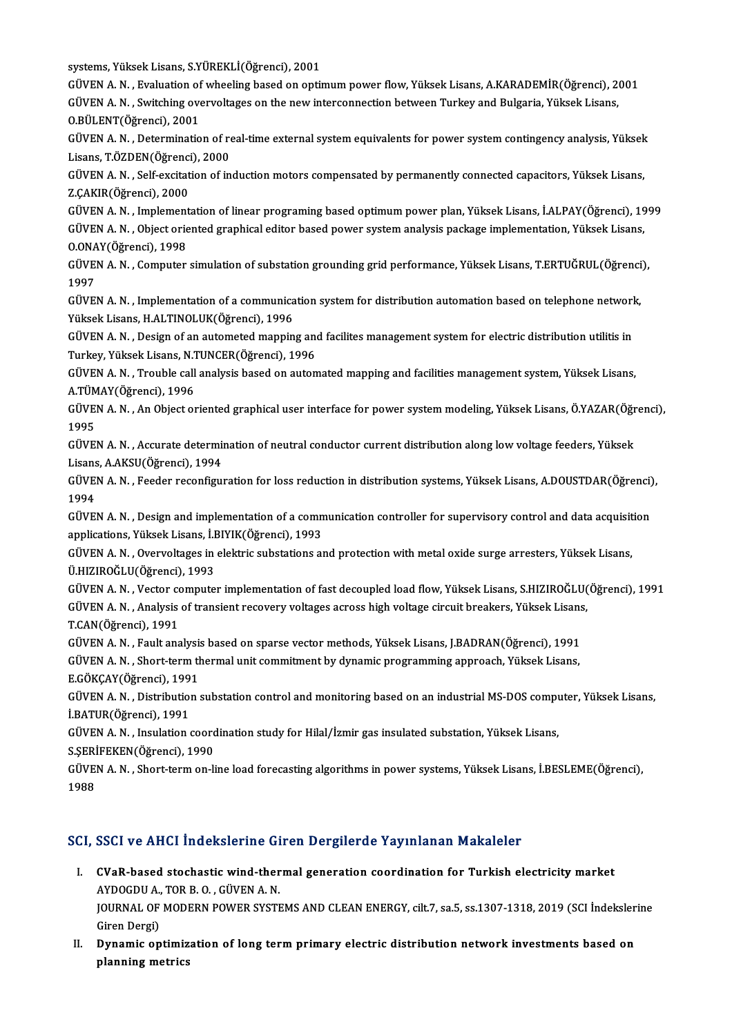systems, Yüksek Lisans, S.YÜREKLİ(Öğrenci), 2001

systems, Yüksek Lisans, S.YÜREKLİ(Öğrenci), 2001<br>GÜVEN A. N. , Evaluation of wheeling based on optimum power flow, Yüksek Lisans, A.KARADEMİR(Öğrenci), 2001<br>GÜVEN A. N. , Suitshing everyeltages en the new intersennestion b systems, Yüksek Lisans, S.YÜREKLİ(Öğrenci), 2001<br>GÜVEN A. N. , Evaluation of wheeling based on optimum power flow, Yüksek Lisans, A.KARADEMİR(Öğrenci), 2<br>GÜVEN A. N. , Switching overvoltages on the new interconnection betw GÜVEN A. N. , Switching overvoltages on the new interconnection between Turkey and Bulgaria, Yüksek Lisans, O.BÜLENT(Öğrenci), 2001 GÜVEN A. N. , Switching overvoltages on the new interconnection between Turkey and Bulgaria, Yüksek Lisans,<br>O.BÜLENT(Öğrenci), 2001<br>GÜVEN A. N. , Determination of real-time external system equivalents for power system cont

O.BÜLENT(Öğrenci), 2001<br>GÜVEN A. N. , Determination of re<br>Lisans, T.ÖZDEN(Öğrenci), 2000<br>CÜVEN A. N. Self excitation of in GÜVEN A. N. , Determination of real-time external system equivalents for power system contingency analysis, Yüksek<br>Lisans, T.ÖZDEN(Öğrenci), 2000<br>GÜVEN A. N. , Self-excitation of induction motors compensated by permanently

Lisans, T.ÖZDEN (Öğrenci<br>GÜVEN A. N. , Self-excitat<br>Z.ÇAKIR (Öğrenci), 2000<br>CÜVEN A. N. , İmplement GÜVEN A. N. , Self-excitation of induction motors compensated by permanently connected capacitors, Yüksek Lisans,<br>Z.ÇAKIR(Öğrenci), 2000<br>GÜVEN A. N. , Implementation of linear programing based optimum power plan, Yüksek Li

Z.ÇAKIR(Öğrenci), 2000<br>GÜVEN A. N. , Implementation of linear programing based optimum power plan, Yüksek Lisans, İ.ALPAY(Öğrenci), 19<br>GÜVEN A. N. , Object oriented graphical editor based power system analysis package impl GÜVEN A. N. , Implement<br>GÜVEN A. N. , Object orie<br>O.ONAY(Öğrenci), 1998<br>CÜVEN A. N. Computer GÜVEN A. N. , Object oriented graphical editor based power system analysis package implementation, Yüksek Lisans,<br>O.ONAY(Öğrenci), 1998<br>GÜVEN A. N. , Computer simulation of substation grounding grid performance, Yüksek Lis

0.0NAY(Öğrenci), 1998<br>GÜVEN A. N. , Computer simulation of substation grounding grid performance, Yüksek Lisans, T.ERTUĞRUL(Öğrenci),<br>1997 GÜVEN A. N. , Computer simulation of substation grounding grid performance, Yüksek Lisans, T.ERTUĞRUL (Öğrenci<br>1997<br>GÜVEN A. N. , Implementation of a communication system for distribution automation based on telephone netw

1997<br>GÜVEN A. N. , Implementation of a communica<br>Yüksek Lisans, H.ALTINOLUK(Öğrenci), 1996<br>GÜVEN A. N. , Desirn ef an autamated mannin GÜVEN A. N. , Implementation of a communication system for distribution automation based on telephone networl<br>Yüksek Lisans, H.ALTINOLUK(Öğrenci), 1996<br>GÜVEN A. N. , Design of an autometed mapping and facilites management

Yüksek Lisans, H.ALTINOLUK(Öğrenci), 1996<br>GÜVEN A. N. , Design of an autometed mapping and facilites management system for electric distribution utilitis in Turkey, Yüksek Lisans, N TUNCER(Öğrenci), 1996

GÜVEN A.N., Trouble call analysis based on automated mapping and facilities management system, Yüksek Lisans, GÜVEN A. N. , Trouble call analysis based on automated mapping and facilities management system, Yüksek Lisans,<br>A.TÜMAY(Öğrenci), 1996<br>GÜVEN A. N. , An Object oriented graphical user interface for power system modeling, Yü

A.TÜMAY(Öğrenci), 1996<br>GÜVEN A. N. , An Object oriented graphical user interface for power system modeling, Yüksek Lisans, Ö.YAZAR(Öğı<br>1995<br>GÜVEN A. N. , Accurate determination of neutral conductor current distribution alo GÜVEN A. N. , An Object oriented graphical user interface for power system modeling, Yüksek Lisans, Ö.YAZAR(Öğr<br>1995<br>GÜVEN A. N. , Accurate determination of neutral conductor current distribution along low voltage feeders,

Lisans,A.AKSU(Öğrenci),1994 GÜVEN A. N. , Accurate determination of neutral conductor current distribution along low voltage feeders, Yüksek<br>Lisans, A.AKSU(Öğrenci), 1994<br>GÜVEN A. N. , Feeder reconfiguration for loss reduction in distribution systems

Lisans<br>GÜVEI<br>1994<br>CÜVEI GÜVEN A. N. , Feeder reconfiguration for loss reduction in distribution systems, Yüksek Lisans, A.DOUSTDAR(Öğrenci)<br>1994<br>GÜVEN A. N. , Design and implementation of a communication controller for supervisory control and dat

1994<br>GÜVEN A. N. , Design and implementation of a comn<br>applications, Yüksek Lisans, İ.BIYIK(Öğrenci), 1993<br>GÜVEN A. N., Quarvaltages in elektris substations el GÜVEN A. N. , Design and implementation of a communication controller for supervisory control and data acquisit<br>applications, Yüksek Lisans, İ.BIYIK(Öğrenci), 1993<br>GÜVEN A. N. , Overvoltages in elektric substations and pro

applications, Yüksek Lisans, İ.BIYIK(Öğrenci), 1993<br>GÜVEN A. N. , Overvoltages in elektric substations and protection with metal oxide surge arresters, Yüksek Lisans,<br>Ü.HIZIROĞLU(Öğrenci), 1993 GÜVEN A. N. , Overvoltages in elektric substations and protection with metal oxide surge arresters, Yüksek Lisans,<br>Ü.HIZIROĞLU(Öğrenci), 1993<br>GÜVEN A. N. , Vector computer implementation of fast decoupled load flow, Yüksek

Ü.HIZIROĞLU(Öğrenci), 1993<br>GÜVEN A. N. , Vector computer implementation of fast decoupled load flow, Yüksek Lisans, S.HIZIROĞLU(<br>GÜVEN A. N. , Analysis of transient recovery voltages across high voltage circuit breakers, Y GÜVEN A. N. , Vector co<br>GÜVEN A. N. , Analysis<br>T.CAN(Öğrenci), 1991<br>CÜVEN A. N. , Fault ana GÜVEN A.N. , Analysis of transient recovery voltages across high voltage circuit breakers, Yüksek Lisans<br>T.CAN(Öğrenci), 1991<br>GÜVEN A.N. , Fault analysis based on sparse vector methods, Yüksek Lisans, J.BADRAN(Öğrenci), 19

T.CAN(Öğrenci), 1991<br>GÜVEN A. N. , Fault analysis based on sparse vector methods, Yüksek Lisans, J.BADRAN(Öğrenci), 1991<br>GÜVEN A. N. , Short-term thermal unit commitment by dynamic programming approach, Yüksek Lisans,<br>E.CÖ GÜVEN A. N. , Fault analysi:<br>GÜVEN A. N. , Short-term th<br>E.GÖKÇAY(Öğrenci), 1991<br>CÜVEN A. N. , Distribution

GÜVEN A. N. , Short-term thermal unit commitment by dynamic programming approach, Yüksek Lisans,<br>E.GÖKÇAY(Öğrenci), 1991<br>GÜVEN A. N. , Distribution substation control and monitoring based on an industrial MS-DOS computer, E.GÖKÇAY(Öğrenci), 199<br>GÜVEN A. N. , Distribution<br>İ.BATUR(Öğrenci), 1991<br>CÜVEN A. N. , İnculation GÜVEN A. N. , Distribution substation control and monitoring based on an industrial MS-DOS compu<br>İ.BATUR(Öğrenci), 1991<br>GÜVEN A. N. , Insulation coordination study for Hilal/İzmir gas insulated substation, Yüksek Lisans,<br>s

İ.BATUR(Öğrenci), 1991<br>GÜVEN A. N. , Insulation coord<br>S.ŞERİFEKEN(Öğrenci), 1990<br>CÜVEN A. N. , Short tarm on li S. ŞERİFEKEN (Öğrenci), 1990

GÜVEN A. N. , Short-term on-line load forecasting algorithms in power systems, Yüksek Lisans, İ.BESLEME(Öğrenci),<br>1988

# SCI, SSCI ve AHCI İndekslerine Giren Dergilerde Yayınlanan Makaleler

- CI, SSCI ve AHCI İndekslerine Giren Dergilerde Yayınlanan Makaleler<br>I. CVaR-based stochastic wind-thermal generation coordination for Turkish electricity market<br>AYDOCDUA TORR O. CÜVENA N COST VOTING MUCROSTING<br>CVaR-based stochastic wind-ther<br>AYDOGDU A., TOR B. O. , GÜVEN A. N.<br>JOUPNAL OF MODERN POWER SYSTE CVaR-based stochastic wind-thermal generation coordination for Turkish electricity market<br>AYDOGDU A., TOR B. O. , GÜVEN A. N.<br>JOURNAL OF MODERN POWER SYSTEMS AND CLEAN ENERGY, cilt.7, sa.5, ss.1307-1318, 2019 (SCI İndeksle AYDOGDU A.,<br>JOURNAL OF<br>Giren Dergi)<br>Dunamia an I . JOURNAL OF MODERN POWER SYSTEMS AND CLEAN ENERGY, cilt.7, sa.5, ss.1307-1318, 2019 (SCI indeksler Giren Dergi)<br>II. Dynamic optimization of long term primary electric distribution network investments based on<br>planning m
- Giren Dergi)<br>II. Dynamic optimization of long term primary electric distribution network investments based on<br>planning metrics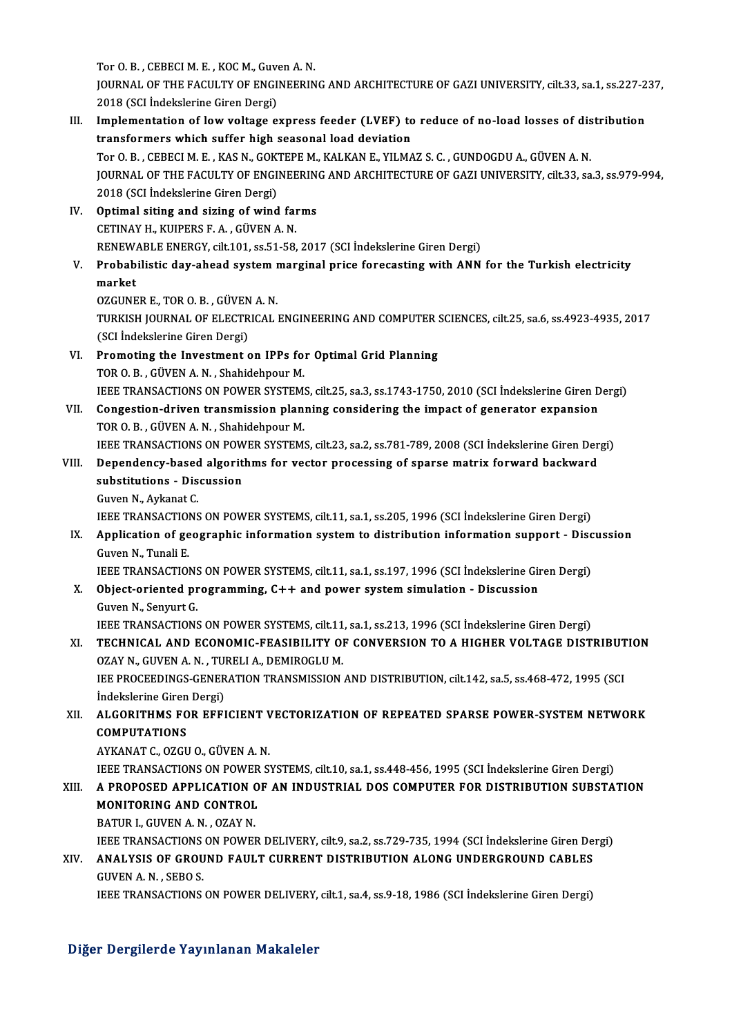Tor O.B., CEBECIM.E., KOCM., Guven A.N.

Tor O. B. , CEBECI M. E. , KOC M., Guven A. N.<br>JOURNAL OF THE FACULTY OF ENGINEERING AND ARCHITECTURE OF GAZI UNIVERSITY, cilt.33, sa.1, ss.227-237,<br>2018 (SSL Indekslering Cirer Dergi) Tor O. B. , CEBECI M. E. , KOC M., Guve<br>JOURNAL OF THE FACULTY OF ENGI<br>2018 (SCI İndekslerine Giren Dergi)<br>Implementation of low veltage e

I I. Implementation of low voltage express feeder (LVEF) to reduce of no-load losses of distribution<br>III. Implementation of low voltage express feeder (LVEF) to reduce of no-load losses of distribution<br>III. Implementation 2018 (SCI İndekslerine Giren Dergi)<br>Implementation of low voltage express feeder (LVEF) to<br>transformers which suffer high seasonal load deviation<br>Ter O B - CERECLM E - KAS N- COKTEREM, KALKAN E- VILMA Implementation of low voltage express feeder (LVEF) to reduce of no-load losses of dis<br>transformers which suffer high seasonal load deviation<br>Tor O. B. , CEBECI M. E. , KAS N., GOKTEPE M., KALKAN E., YILMAZ S. C. , GUNDOGD transformers which suffer high seasonal load deviation<br>Tor O. B. , CEBECI M. E. , KAS N., GOKTEPE M., KALKAN E., YILMAZ S. C. , GUNDOGDU A., GÜVEN A. N.<br>JOURNAL OF THE FACULTY OF ENGINEERING AND ARCHITECTURE OF GAZI UNIVER Tor O. B. , CEBECI M. E. , KAS N., GOK<br>JOURNAL OF THE FACULTY OF ENGI<br>2018 (SCI İndekslerine Giren Dergi)<br>Ontimal siting and sizing of wind JOURNAL OF THE FACULTY OF ENGINEERIN<br>2018 (SCI Indekslerine Giren Dergi)<br>IV. Optimal siting and sizing of wind farms<br>CETINAV H. KUIDERS E.A. CUVEN A.N. 2018 (SCI Indekslerine Giren Dergi)<br>**Optimal siting and sizing of wind far**<br>CETINAY H., KUIPERS F.A., GÜVEN A.N.<br>RENEWARLE ENERCY si<sup>1</sup>t 101, SS 51, 59 Optimal siting and sizing of wind farms<br>CETINAY H., KUIPERS F. A. , GÜVEN A. N.<br>RENEWABLE ENERGY, cilt.101, ss.51-58, 2017 (SCI İndekslerine Giren Dergi)<br>Probobilistis dau abord sustam marginal prise forasasting with ANN CETINAY H., KUIPERS F. A. , GÜVEN A. N.<br>RENEWABLE ENERGY, cilt.101, ss.51-58, 2017 (SCI İndekslerine Giren Dergi)<br>V. Probabilistic day-ahead system marginal price forecasting with ANN for the Turkish electricity<br>market RENEW<sub>4</sub><br>Probab<br>market<br>07CUNE OZGUNERE.,TORO.B. ,GÜVENA.N. market<br>OZGUNER E., TOR O. B. , GÜVEN A. N.<br>TURKISH JOURNAL OF ELECTRICAL ENGINEERING AND COMPUTER SCIENCES, cilt.25, sa.6, ss.4923-4935, 2017<br>(SCI İndekslerine Ciren Dergi) OZGUNER E., TOR O. B. , GÜVEN<br>TURKISH JOURNAL OF ELECTR<br>(SCI İndekslerine Giren Dergi)<br>Promoting the Investment c TURKISH JOURNAL OF ELECTRICAL ENGINEERING AND COMPUTER S<br>(SCI Indekslerine Giren Dergi)<br>VI. Promoting the Investment on IPPs for Optimal Grid Planning<br>TOP O B. CUVEN A N. Shabidabnow M. (SCI İndekslerine Giren Dergi)<br>VI. Promoting the Investment on IPPs for Optimal Grid Planning<br>TOR O. B., GÜVEN A. N., Shahidehpour M. Promoting the Investment on IPPs for Optimal Grid Planning<br>TOR O. B. , GÜVEN A. N. , Shahidehpour M.<br>IEEE TRANSACTIONS ON POWER SYSTEMS, cilt.25, sa.3, ss.1743-1750, 2010 (SCI İndekslerine Giren Dergi)<br>Consection driven tr TOR O. B., GÜVEN A. N., Shahidehpour M.<br>IEEE TRANSACTIONS ON POWER SYSTEMS, cilt.25, sa.3, ss.1743-1750, 2010 (SCI Indekslerine Giren D<br>VII. Congestion-driven transmission planning considering the impact of generator expan **THE TRANSACTIONS ON POWER SYSTEM:**<br>**Congestion-driven transmission plan**<br>TOR O. B. , GÜVEN A. N. , Shahidehpour M.<br>JEEE TPANSACTIONS ON POWER SYSTEM: VII. Congestion-driven transmission planning considering the impact of generator expansion<br>TOR O. B., GÜVEN A. N., Shahidehpour M.<br>IEEE TRANSACTIONS ON POWER SYSTEMS, cilt.23, sa.2, ss.781-789, 2008 (SCI Indekslerine Giren TOR O. B., GÜVEN A. N., Shahidehpour M.<br>IEEE TRANSACTIONS ON POWER SYSTEMS, cilt.23, sa.2, ss.781-789, 2008 (SCI İndekslerine Giren Der<br>VIII. Dependency-based algorithms for vector processing of sparse matrix forward backw **IEEE TRANSACTIONS ON POW<br>Dependency-based algorit<br>substitutions - Discussion**<br>Cuven N. Avkanat C **Dependency-based<br>substitutions - Dis<br>Guven N., Aykanat C.<br>IEEE TRANSACTIONS** substitutions - Discussion<br>Guven N., Aykanat C.<br>IEEE TRANSACTIONS ON POWER SYSTEMS, cilt.11, sa.1, ss.205, 1996 (SCI İndekslerine Giren Dergi)<br>Annligation of geographic information quetam to distribution information qunnor Guven N., Aykanat C.<br>IEEE TRANSACTIONS ON POWER SYSTEMS, cilt.11, sa.1, ss.205, 1996 (SCI Indekslerine Giren Dergi)<br>IX. Application of geographic information system to distribution information support - Discussion<br>Guven N. **IEEE TRANSACTION<br>Application of ge<br>Guven N., Tunali E.<br>IEEE TRANSACTION** Application of geographic information system to distribution information support - Disc<br>Guven N., Tunali E.<br>IEEE TRANSACTIONS ON POWER SYSTEMS, cilt.11, sa.1, ss.197, 1996 (SCI İndekslerine Giren Dergi)<br>Object oriented pro Guven N., Tunali E.<br>IEEE TRANSACTIONS ON POWER SYSTEMS, cilt.11, sa.1, ss.197, 1996 (SCI İndekslerine Gir<br>X. Object-oriented programming, C++ and power system simulation - Discussion<br>Cuven N. Sonnut C. **IEEE TRANSACTIONS<br>Object-oriented pr<br>Guven N., Senyurt G.<br>IEEE TPANSACTIONS** Object-oriented programming, C++ and power system simulation - Discussion<br>Guven N., Senyurt G.<br>IEEE TRANSACTIONS ON POWER SYSTEMS, cilt.11, sa.1, ss.213, 1996 (SCI İndekslerine Giren Dergi)<br>TECHNICAL AND ECONOMIC EEASIBILI Guven N., Senyurt G.<br>IEEE TRANSACTIONS ON POWER SYSTEMS, cilt.11, sa.1, ss.213, 1996 (SCI Indekslerine Giren Dergi)<br>XI. TECHNICAL AND ECONOMIC-FEASIBILITY OF CONVERSION TO A HIGHER VOLTAGE DISTRIBUTION<br>OZAY N., GUVEN A. N. TEEE TRANSACTIONS ON POWER SYSTEMS, cilt.11<br>TECHNICAL AND ECONOMIC-FEASIBILITY OF<br>OZAY N., GUVEN A. N. , TURELI A., DEMIROGLU M.<br>JEE PROCEEDINCS CENERATION TRANSMISSION TECHNICAL AND ECONOMIC-FEASIBILITY OF CONVERSION TO A HIGHER VOLTAGE DISTRIBUT<br>OZAY N., GUVEN A. N. , TURELI A., DEMIROGLU M.<br>IEE PROCEEDINGS-GENERATION TRANSMISSION AND DISTRIBUTION, cilt.142, sa.5, ss.468-472, 1995 (SCI<br> **OZAY N., GUVEN A. N. , TU.<br>IEE PROCEEDINGS-GENER<br>İndekslerine Giren Dergi)** IEE PROCEEDINGS-GENERATION TRANSMISSION AND DISTRIBUTION, cilt.142, sa.5, ss.468-472, 1995 (SCI<br>Indekslerine Giren Dergi)<br>XII. ALGORITHMS FOR EFFICIENT VECTORIZATION OF REPEATED SPARSE POWER-SYSTEM NETWORK<br>COMPUTATIONS **indekslerine Giren<br>ALGORITHMS FO<br>COMPUTATIONS** ALGORITHMS FOR EFFICIENT V<br>COMPUTATIONS<br>AYKANAT C., OZGU O., GÜVEN A. N.<br>IEEE TRANSACTIONS ON POWER S COMPUTATIONS<br>AYKANAT C., OZGU O., GÜVEN A. N.<br>IEEE TRANSACTIONS ON POWER SYSTEMS, cilt.10, sa.1, ss.448-456, 1995 (SCI İndekslerine Giren Dergi) AYKANAT C., OZGU O., GÜVEN A. N.<br>IEEE TRANSACTIONS ON POWER SYSTEMS, cilt.10, sa.1, ss.448-456, 1995 (SCI indekslerine Giren Dergi)<br>XIII. A PROPOSED APPLICATION OF AN INDUSTRIAL DOS COMPUTER FOR DISTRIBUTION SUBSTATION **IEEE TRANSACTIONS ON POWER<br>A PROPOSED APPLICATION O<br>MONITORING AND CONTROL** A PROPOSED APPLICATION<br>MONITORING AND CONTROL<br>BATUR I., GUVEN A. N. , OZAY N.<br>JEEE TRANSACTIONS ON POWEL MONITORING AND CONTROL<br>BATUR I., GUVEN A. N. , OZAY N.<br>IEEE TRANSACTIONS ON POWER DELIVERY, cilt.9, sa.2, ss.729-735, 1994 (SCI İndekslerine Giren Dergi)<br>ANALYSIS OE CROUND FAIJL T CURRENT DISTRIRITION ALONC UNDERCROUND CA BATUR I., GUVEN A. N. , OZAY N.<br>IEEE TRANSACTIONS ON POWER DELIVERY, cilt.9, sa.2, ss.729-735, 1994 (SCI İndekslerine Giren De:<br>XIV. ANALYSIS OF GROUND FAULT CURRENT DISTRIBUTION ALONG UNDERGROUND CABLES<br>CUVEN A.N. SEB **IEEE TRANSACTIONS<br>ANALYSIS OF GROU<br>GUVEN A. N. , SEBO S.<br>IEEE TRANSACTIONS** XIV. ANALYSIS OF GROUND FAULT CURRENT DISTRIBUTION ALONG UNDERGROUND CABLES<br>GUVEN A. N., SEBO S.<br>IEEE TRANSACTIONS ON POWER DELIVERY, cilt.1, sa.4, ss.9-18, 1986 (SCI İndekslerine Giren Dergi)

# Diğer Dergilerde Yayınlanan Makaleler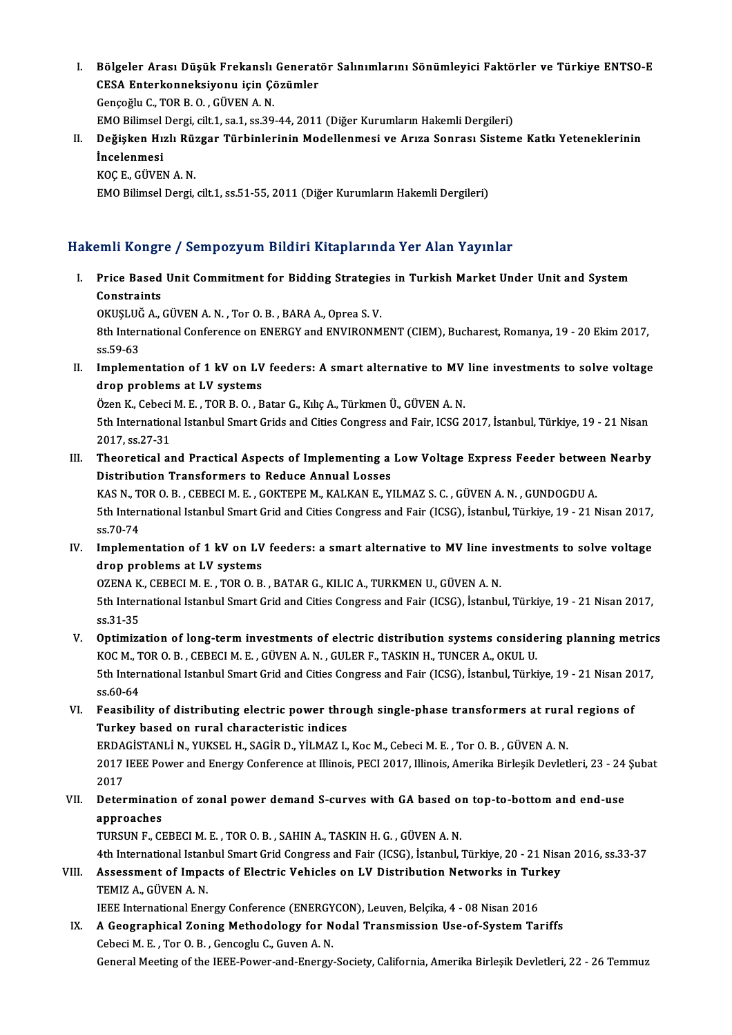I. Bölgeler Arası Düşük Frekanslı Generatör Salınımlarını Sönümleyici Faktörler ve Türkiye ENTSO-E Bölgeler Arası Düşük Frekanslı Generat<br>CESA Enterkonneksiyonu için Çözümler<br>Censeğlu C. TOP P.O. GÜVEN A.N Bölgeler Arası Düşük Frekanslı<br>CESA Enterkonneksiyonu için Çö<br>Gençoğlu C., TOR B. O. , GÜVEN A. N.<br>EMO Bilimaal Dargi silt 1, 89 1, 89 30 CESA Enterkonneksiyonu için Çözümler<br>Gençoğlu C., TOR B. O. , GÜVEN A. N.<br>EMO Bilimsel Dergi, cilt.1, sa.1, ss.39-44, 2011 (Diğer Kurumların Hakemli Dergileri)<br>Değiskan Hızlı Rüzgen Türbinlerinin Madellermesi ve Arıra Sann

Gençoğlu C., TOR B. O. , GÜVEN A. N.<br>EMO Bilimsel Dergi, cilt.1, sa.1, ss.39-44, 2011 (Diğer Kurumların Hakemli Dergileri)<br>II. Değişken Hızlı Rüzgar Türbinlerinin Modellenmesi ve Arıza Sonrası Sisteme Katkı Yetenekleri EMO Bilimsel<br>De<mark>ğişken Hı:</mark><br>İncelenmesi<br>KOC E. CÜVEI

KOÇE.,GÜVENA.N.

EMO Bilimsel Dergi, cilt.1, ss.51-55, 2011 (Diğer Kurumların Hakemli Dergileri)

## Hakemli Kongre / Sempozyum Bildiri Kitaplarında Yer Alan Yayınlar

akemli Kongre / Sempozyum Bildiri Kitaplarında Yer Alan Yayınlar<br>I. Price Based Unit Commitment for Bidding Strategies in Turkish Market Under Unit and System<br>Constreints Price Based<br>Constraints<br>OVUSLUČA Price Based Unit Commitment for Bidding Strategie<br>Constraints<br>OKUŞLUĞ A., GÜVEN A. N. , Tor O. B. , BARA A., Oprea S. V.<br><sup>Oth Intornational Conference on ENERCY and ENVIRONM</sub></sup>

Constraints<br>OKUŞLUĞ A., GÜVEN A. N. , Tor O. B. , BARA A., Oprea S. V.<br>8th International Conference on ENERGY and ENVIRONMENT (CIEM), Bucharest, Romanya, 19 - 20 Ekim 2017, OKUŞLUČ<br>8th Interi<br>ss.59-63<br>Impleme 8th International Conference on ENERGY and ENVIRONMENT (CIEM), Bucharest, Romanya, 19 - 20 Ekim 2017,<br>ss.59-63<br>II. Implementation of 1 kV on LV feeders: A smart alternative to MV line investments to solve voltage<br>drop prob

ss.59-63<br>Implementation of 1 kV on LV<br>drop problems at LV systems<br>Önen K. Cebesi M. E. TOP P. O. P Implementation of 1 kV on LV feeders: A smart alternative to MV<br>drop problems at LV systems<br>Özen K., Cebeci M. E. , TOR B. O. , Batar G., Kılıç A., Türkmen Ü., GÜVEN A. N.<br>Eth International Istanbul Smart Crids and Cities

drop problems at LV systems<br>Özen K., Cebeci M. E. , TOR B. O. , Batar G., Kılıç A., Türkmen Ü., GÜVEN A. N.<br>5th International Istanbul Smart Grids and Cities Congress and Fair, ICSG 2017, İstanbul, Türkiye, 19 - 21 Nisan<br>2 Özen K., Cebeci M. E., TOR B. O., Batar G., Kılıç A., Türkmen Ü., GÜVEN A. N. 5th International Istanbul Smart Grids and Cities Congress and Fair, ICSG 2017, İstanbul, Türkiye, 19 - 21 Nisan<br>2017, ss.27-31<br>III. Theoretical and Practical Aspects of Implementing a Low Voltage Express Feeder between Ne

2017, ss.27-31<br>Theoretical and Practical Aspects of Implementing a<br>Distribution Transformers to Reduce Annual Losses<br>KAS N. TOR O. B., CERECIM E., COKTEREM, KALKANE, V. Theoretical and Practical Aspects of Implementing a Low Voltage Express Feeder betwee<br>Distribution Transformers to Reduce Annual Losses<br>KAS N., TOR O. B. , CEBECI M. E. , GOKTEPE M., KALKAN E., YILMAZ S. C. , GÜVEN A. N. ,

Distribution Transformers to Reduce Annual Losses<br>KAS N., TOR O. B. , CEBECI M. E. , GOKTEPE M., KALKAN E., YILMAZ S. C. , GÜVEN A. N. , GUNDOGDU A.<br>5th International Istanbul Smart Grid and Cities Congress and Fair (ICSG) KAS N., T<br>5th Interi<br>ss.70-74<br>Impleme IV. Implementation of 1 kV on LV feeders: a smart alternative to MV line investments to solve voltage<br>IV. Implementation of 1 kV on LV feeders: a smart alternative to MV line investments to solve voltage<br>drop problems at L

ss.70-74<br>IV. Implementation of 1 kV on LV feeders: a smart alternative to MV line investments to solve voltage<br>drop problems at LV systems Implementation of 1 kV on LV feeders: a smart alternative to MV line in<br>drop problems at LV systems<br>OZENA K., CEBECI M. E. , TOR O. B. , BATAR G., KILIC A., TURKMEN U., GÜVEN A. N.<br>Eth International Istanbul Smart Crid and

5th International Istanbul Smart Grid and Cities Congress and Fair (ICSG), İstanbul, Türkiye, 19 - 21 Nisan 2017, ss.31-35 OZENA K<br>5th Interi<br>ss.31-35<br>Ontiming

- V. Optimization of long-term investments of electric distribution systems considering planning metrics KOCM.,TORO.B. ,CEBECIM.E. ,GÜVENA.N. ,GULERF.,TASKINH.,TUNCERA.,OKULU. Optimization of long-term investments of electric distribution systems considering planning metric<br>KOC M., TOR O. B. , CEBECI M. E. , GÜVEN A. N. , GULER F., TASKIN H., TUNCER A., OKUL U.<br>5th International Istanbul Smart G KOC M., T<br>5th Interi<br>ss.60-64<br>Ecasibili 5th International Istanbul Smart Grid and Cities Congress and Fair (ICSG), İstanbul, Türkiye, 19 - 21 Nisan 20<br>ss.60-64<br>VI. Feasibility of distributing electric power through single-phase transformers at rural regions of<br>T
- ss.60-64<br>VI. Feasibility of distributing electric power through single-phase transformers at rural regions of<br>Turkey based on rural characteristic indices ERDAGİSTANLİN.,YUKSELH.,SAGİRD.,YİLMAZ I.,KocM.,CebeciM.E. ,TorO.B. ,GÜVENA.N.

Turkey based on rural characteristic indices<br>ERDAGİSTANLİ N., YUKSEL H., SAGİR D., YİLMAZ I., Koc M., Cebeci M. E. , Tor O. B. , GÜVEN A. N.<br>2017 IEEE Power and Energy Conference at Illinois, PECI 2017, Illinois, Amerika B ERDA<br>2017<br>2017<br>Deter 2017 IEEE Power and Energy Conference at Illinois, PECI 2017, Illinois, Amerika Birleşik Devletleri, 23 - 24<br>2017<br>VII. Determination of zonal power demand S-curves with GA based on top-to-bottom and end-use<br>annroaches

2017<br>Determinati<br>approaches<br>TURSUN E. CI Determination of zonal power demand S-curves with GA based of<br>approaches<br>TURSUN F., CEBECI M. E. , TOR O. B. , SAHIN A., TASKIN H. G. , GÜVEN A. N.<br>4th International Istanbul Smart Crid Congress and Feir (ICSC), Istanbul

approaches<br>TURSUN F., CEBECI M. E. , TOR O. B. , SAHIN A., TASKIN H. G. , GÜVEN A. N.<br>4th International Istanbul Smart Grid Congress and Fair (ICSG), İstanbul, Türkiye, 20 - 21 Nisan 2016, ss.33-37<br>Assessment of Impests of

# TURSUN F., CEBECI M. E., TOR O. B., SAHIN A., TASKIN H. G., GÜVEN A. N.<br>4th International Istanbul Smart Grid Congress and Fair (ICSG), İstanbul, Türkiye, 20 - 21 Nisa<br>VIII. Assessment of Impacts of Electric Vehicles on LV 4th International Istan<br>Assessment of Impa<br>TEMIZ A., GÜVEN A. N.<br>IEEE International Ene Assessment of Impacts of Electric Vehicles on LV Distribution Networks in Turkey<br>TEMIZ A., GÜVEN A. N.<br>IEEE International Energy Conference (ENERGYCON), Leuven, Belçika, 4 - 08 Nisan 2016

TEMIZ A., GÜVEN A. N.<br>IEEE International Energy Conference (ENERGYCON), Leuven, Belçika, 4 - 08 Nisan 2016<br>IX. A Geographical Zoning Methodology for Nodal Transmission Use-of-System Tariffs<br>Cobosi M. E., Tor O. B., Consosu **IEEE International Energy Conference (ENERGY**<br>**A Geographical Zoning Methodology for N**<br>Cebeci M. E. , Tor O. B. , Gencoglu C., Guven A. N.<br>Conoral Meeting of the IEEE Bourer and Energy Cebeci M. E. , Tor O. B. , Gencoglu C., Guven A. N.<br>General Meeting of the IEEE-Power-and-Energy-Society, California, Amerika Birleşik Devletleri, 22 - 26 Temmuz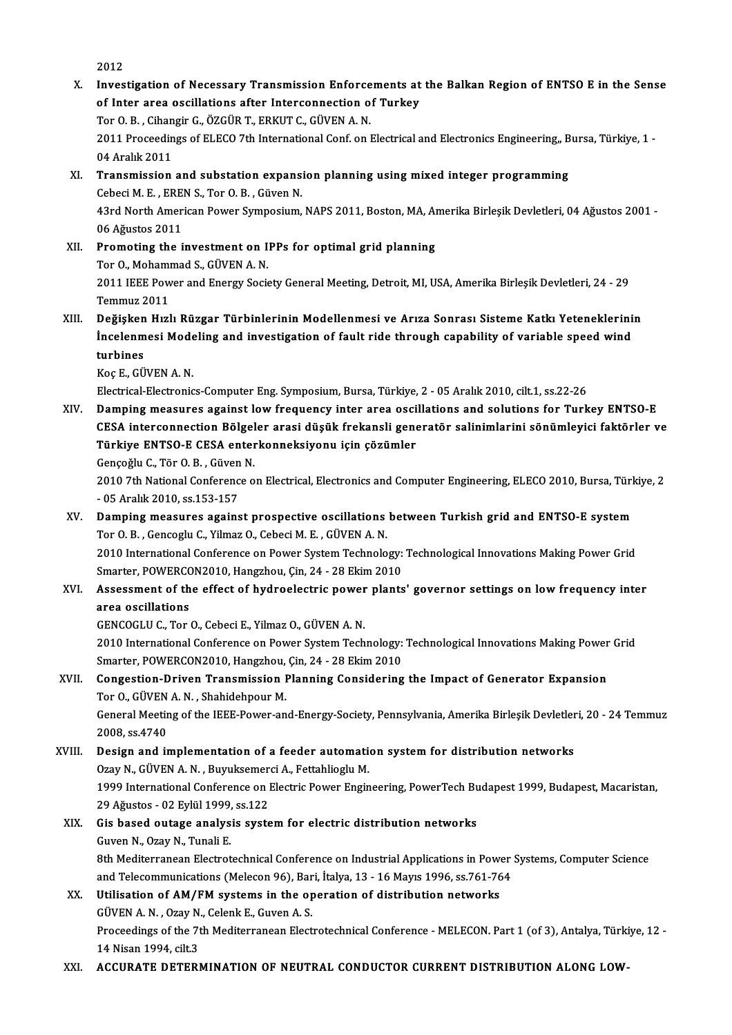2012

X. Investigation of Necessary Transmission Enforcements at the Balkan Region of ENTSO E in the Sense 2012<br>Investigation of Necessary Transmission Enforcements at<br>of Inter area oscillations after Interconnection of Turkey<br>Ter O.B., SibanginG, ÖZGÜR IN ERKUTG, GÜVENAN Investigation of Necessary Transmission Enforce<br>of Inter area oscillations after Interconnection o<br>Tor O. B., Cihangir G., ÖZGÜR T., ERKUT C., GÜVEN A. N.<br>2011 Preceedings of El ECO 7th International Corf. on l 2011 Proceedings of ELECO 7th International Conf. on Electrical and Electronics Engineering,, Bursa, Türkiye, 1<br>04 Aralık 2011 Tor O. B., Cihangir G., ÖZGÜR T., ERKUT C., GÜVEN A. N. 2011 Proceedings of ELECO 7th International Conf. on Electrical and Electronics Engineering,, B<br>04 Aralık 2011<br>XI. Transmission and substation expansion planning using mixed integer programming<br>Coboci M. E. EREN S. Tor O. 04 Aralık 2011<br>Transmission and substation expansi<br>Cebeci M. E. , EREN S., Tor O. B. , Güven N.<br>42rd North American Bower Symposium Transmission and substation expansion planning using mixed integer programming<br>Cebeci M. E. , EREN S., Tor O. B. , Güven N.<br>43rd North American Power Symposium, NAPS 2011, Boston, MA, Amerika Birleşik Devletleri, 04 Ağusto Cebeci M. E. , ERE<br>43rd North Amer<br>06 Ağustos 2011<br>Promoting the i 43rd North American Power Symposium, NAPS 2011, Boston, MA, An<br>06 Ağustos 2011<br>XII. Promoting the investment on IPPs for optimal grid planning<br>Tor Q. Mohammad S. CÜVEN A. N 06 Ağustos 2011<br><mark>Promoting the investment on I</mark><br>Tor O., Mohammad S., GÜVEN A. N.<br>2011 IEEE Boucr and Energy Socie Promoting the investment on IPPs for optimal grid planning<br>Tor O., Mohammad S., GÜVEN A. N.<br>2011 IEEE Power and Energy Society General Meeting, Detroit, MI, USA, Amerika Birleşik Devletleri, 24 - 29<br>Temmus 2011 Tor O., Mohami<br>2011 IEEE Pow<br>Temmuz 2011<br>Dožiskon Hurl 2011 IEEE Power and Energy Society General Meeting, Detroit, MI, USA, Amerika Birleşik Devletleri, 24 - 29<br>Temmuz 2011<br>XIII. Değişken Hızlı Rüzgar Türbinlerinin Modellenmesi ve Arıza Sonrası Sisteme Katkı Yeteneklerinin<br>İn Temmuz 2011<br>Değişken Hızlı Rüzgar Türbinlerinin Modellenmesi ve Arıza Sonrası Sisteme Katkı Yeteneklerini<br>İncelenmesi Modeling and investigation of fault ride through capability of variable speed wind<br>turbines Değişken<br>İncelenm<br>turbines<br><sup>Kog E</sup> CÜ Incelenmesi Modeling and investigation of fault ride through capability of variable speed wind<br>turbines<br>Koç E., GÜVEN A. N. Electrical-Electronics-Computer Eng.Symposium,Bursa,Türkiye,2 -05Aralık2010, cilt.1, ss.22-26 Koç E., GÜVEN A. N.<br>Electrical-Electronics-Computer Eng. Symposium, Bursa, Türkiye, 2 - 05 Aralık 2010, cilt.1, ss.22-26<br>XIV. Damping measures against low frequency inter area oscillations and solutions for Turkey ENTSO-E<br> Electrical-Electronics-Computer Eng. Symposium, Bursa, Türkiye, 2 - 05 Aralık 2010, cilt.1, ss.22-26<br>Damping measures against low frequency inter area oscillations and solutions for Turkey ENTSO-E<br>CESA interconnection Bölg Damping measures against low frequency inter area osci<br>CESA interconnection Bölgeler arasi düşük frekansli gene<br>Türkiye ENTSO-E CESA enterkonneksiyonu için çözümler<br>Censeğlu C. Tör O.B. Güyen M CESA interconnection Bölgeler arasi düşük frekansli generatör salinimlarini sönümleyici faktörler ve<br>Türkiye ENTSO-E CESA enterkonneksiyonu için çözümler<br>Gençoğlu C., Tör O. B., Güven N. Türkiye ENTSO-E CESA enterkonneksiyonu için çözümler<br>Gençoğlu C., Tör O. B. , Güven N.<br>2010 7th National Conference on Electrical, Electronics and Computer Engineering, ELECO 2010, Bursa, Türkiye, 2<br>05 Aralık 2010 ss 152 1 Gençoğlu C., Tör O. B. , Güven<br>2010 7th National Conferenc<br>- 05 Aralık 2010, ss.153-157<br>Damning measures agains 2010 7th National Conference on Electrical, Electronics and Computer Engineering, ELECO 2010, Bursa, Türk<br>- 05 Aralık 2010, ss.153-157<br>XV. Damping measures against prospective oscillations between Turkish grid and ENTSO-E - 05 Aralık 2010, ss.153-157<br><mark>Damping measures against prospective oscillations</mark><br>Tor O. B. , Gencoglu C., Yilmaz O., Cebeci M. E. , GÜVEN A. N.<br>2010 International Conference on Bourer System Technolo Damping measures against prospective oscillations between Turkish grid and ENTSO-E system<br>Tor O. B. , Gencoglu C., Yilmaz O., Cebeci M. E. , GÜVEN A. N.<br>2010 International Conference on Power System Technology: Technologic Tor O. B. , Gencoglu C., Yilmaz O., Cebeci M. E. , GÜVEN A. N.<br>2010 International Conference on Power System Technology:<br>Smarter, POWERCON2010, Hangzhou, Çin, 24 - 28 Ekim 2010 XVI. Assessment of the effect of hydroelectric power plants' governor settings on low frequency inter<br>area oscillations Smarter, POWERCON2010, Hangzhou, Çin, 24 - 28 Ekim 2010 GENCOGLU C., Tor O., Cebeci E., Yilmaz O., GÜVEN A. N. area oscillations<br>GENCOGLU C., Tor O., Cebeci E., Yilmaz O., GÜVEN A. N.<br>2010 International Conference on Power System Technology: Technological Innovations Making Power Grid<br>Smarter POWERCON3010 Hangrhou, Cin. 24, ...29 E GENCOGLU C., Tor O., Cebeci E., Yilmaz O., GÜVEN A. N.<br>2010 International Conference on Power System Technology:<br>Smarter, POWERCON2010, Hangzhou, Çin, 24 - 28 Ekim 2010<br>Consection Driven Transmission Planning Considering 2010 International Conference on Power System Technology: Technological Innovations Making Power<br>Smarter, POWERCON2010, Hangzhou, Çin, 24 - 28 Ekim 2010<br>XVII. Congestion-Driven Transmission Planning Considering the Impact Smarter, POWERCON2010, Hangzhou, Çin, 24 - 28 Ekim 2010<br>Congestion-Driven Transmission Planning Considering the Impact of Generator Expansion<br>Tor O., GÜVEN A. N. , Shahidehpour M. Congestion-Driven Transmission Planning Considering the Impact of Generator Expansion<br>Tor 0., GÜVEN A. N. , Shahidehpour M.<br>General Meeting of the IEEE-Power-and-Energy-Society, Pennsylvania, Amerika Birleşik Devletleri, 2 Tor O., GÜVEN<br>General Meetir<br>2008, ss.4740<br>Design and it General Meeting of the IEEE-Power-and-Energy-Society, Pennsylvania, Amerika Birleşik Devletler<br>2008, ss.4740<br>XVIII. Design and implementation of a feeder automation system for distribution networks<br>2008, SS.4740 2008, ss.4740<br>Design and implementation of a feeder automation system for distribution networks<br>Ozay N., GÜVEN A. N. , Buyuksemerci A., Fettahlioglu M. Design and implementation of a feeder automation system for distribution networks<br>Ozay N., GÜVEN A. N. , Buyuksemerci A., Fettahlioglu M.<br>1999 International Conference on Electric Power Engineering, PowerTech Budapest 1999 Ozay N., GÜVEN A. N. , Buyuksemer<br>1999 International Conference on l<br>29 Ağustos - 02 Eylül 1999, ss.122<br>Cis bassel outage analysis syste 1999 International Conference on Electric Power Engineering, PowerTech Bu<br>29 Ağustos - 02 Eylül 1999, ss.122<br>XIX. Gis based outage analysis system for electric distribution networks<br>Cureo N. Ozay N. Tunali E 29 Ağustos - 02 Eylül 1999,<br>Gis based outage analys<br>Guven N., Ozay N., Tunali E.<br><sup>Oth Moditorraneon Electrot</sub></sup> Gis based outage analysis system for electric distribution networks<br>Guven N., Ozay N., Tunali E.<br>8th Mediterranean Electrotechnical Conference on Industrial Applications in Power Systems, Computer Science<br>and Telecommunica Guven N., Ozay N., Tunali E.<br>8th Mediterranean Electrotechnical Conference on Industrial Applications in Power<br>and Telecommunications (Melecon 96), Bari, İtalya, 13 - 16 Mayıs 1996, ss.761-764<br>Hillisation of AM/EM systems and Telecommunications (Melecon 96), Bari, İtalya, 13 - 16 Mayıs 1996, ss.761-764<br>XX. Utilisation of AM/FM systems in the operation of distribution networks and Telecommunications (Melecon 96), Bar<br>Utilisation of AM/FM systems in the open GÜVEN A. N. , Ozay N., Celenk E., Guven A. S. Proceedings of the 7th Mediterranean Electrotechnical Conference - MELECON. Part 1 (of 3), Antalya, Türkiye, 12 -<br>14 Nisan 1994, cilt.3 GÜVEN A. N. , Ozay N.<br>Proceedings of the 71<br>14 Nisan 1994, cilt.3<br>ACCUPATE DETERI

### XXI. ACCURATE DETERMINATION OF NEUTRAL CONDUCTOR CURRENT DISTRIBUTION ALONG LOW-